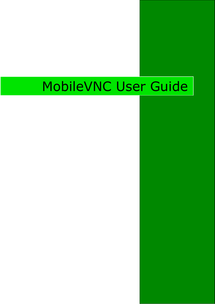# MobileVNC User Guide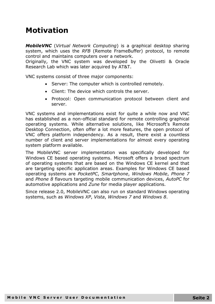#### **Motivation**

*MobileVNC* (*Virtual Network Computing*) is a graphical desktop sharing system, which uses the *RFB* (Remote FrameBuffer) protocol, to remote control and maintains computers over a network.

Originally, the VNC system was developed by the Olivetti & Oracle Research Lab which was later acquired by AT&T.

VNC systems consist of three major components:

- Server: The computer which is controlled remotely.
- Client: The device which controls the server.
- Protocol: Open communication protocol between client and server.

VNC systems and implementations exist for quite a while now and VNC has established as a non-official standard for remote controlling graphical operating systems. While alternative solutions, like Microsoft's Remote Desktop Connection, often offer a lot more features, the open protocol of VNC offers platform independency. As a result, there exist a countless number of client and server implementations for almost every operating system platform available.

The MobileVNC server implementation was specifically developed for Windows CE based operating systems. Microsoft offers a broad spectrum of operating systems that are based on the Windows CE kernel and that are targeting specific application areas. Examples for Windows CE based operating systems are *PocketPC*, *Smartphone*, *Windows Mobile*, *Phone 7* and *Phone 8* flavours targeting mobile communication devices, *AutoPC* for automotive applications and *Zune* for media player applications.

Since release 2.0, MobileVNC can also run on standard Windows operating systems, such as *Windows XP*, *Vista*, *Windows 7* and *Windows 8*.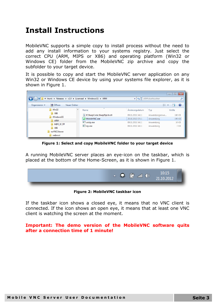### **Install Instructions**

MobileVNC supports a simple copy to install process without the need to add any install information to your systems registry. Just select the correct CPU (ARM, MIPS or X86) and operating platform (Win32 or Windows CE) folder from the MobileVNC zip archive and copy the subfolder to your target device.

It is possible to copy and start the MobileVNC server application on any Win32 or Windows CE device by using your systems file explorer, as it is shown in [Figure 1.](#page-2-0)

| $\begin{array}{c c c c c c} \hline \multicolumn{3}{c }{\mathbf{C}} & \multicolumn{3}{c }{\mathbf{S}} & \multicolumn{3}{c }{\mathbf{S}} & \multicolumn{3}{c }{\mathbf{S}} & \multicolumn{3}{c }{\mathbf{S}} & \multicolumn{3}{c }{\mathbf{S}} & \multicolumn{3}{c }{\mathbf{S}} & \multicolumn{3}{c }{\mathbf{S}} & \multicolumn{3}{c }{\mathbf{S}} & \multicolumn{3}{c }{\mathbf{S}} & \multicolumn{3}{c }{\mathbf{S}} & \multicolumn{3}{c }{\mathbf$<br>$\frac{1}{2}$ « trunk > Releases > v2.0 > Licenced > WindowsCE > ARM<br>ARM durchsuchen<br>$+$<br>$\mathbf{v}$<br>ρ |                                              |                  |                |              |  |
|------------------------------------------------------------------------------------------------------------------------------------------------------------------------------------------------------------------------------------------------------------------------------------------------------------------------------------------------------------------------------------------------------------------------------------------------------------------------------------------------------------------------------------------------------------------------------|----------------------------------------------|------------------|----------------|--------------|--|
| Organisieren v<br>d Öffnen<br>Neuer Ordner                                                                                                                                                                                                                                                                                                                                                                                                                                                                                                                                   | 胆<br>$\mathbf Q$<br>$\overline{\phantom{a}}$ |                  |                |              |  |
| Win32                                                                                                                                                                                                                                                                                                                                                                                                                                                                                                                                                                        | ≖<br>Name                                    | Änderungsdatum   | Typ            | Größe        |  |
| X86<br>WindowsCE                                                                                                                                                                                                                                                                                                                                                                                                                                                                                                                                                             | ICSharpCode.SharpZipLib.dll                  | 09.11.2011 14:11 | Anwendungserwe | 188 KB       |  |
| <b>ARM</b>                                                                                                                                                                                                                                                                                                                                                                                                                                                                                                                                                                   | MobileVNC.exe                                | 20.10.2012 17:11 | Anwendung      | 199 KB       |  |
| <b>MIPS IV FP</b>                                                                                                                                                                                                                                                                                                                                                                                                                                                                                                                                                            | unzip.exe                                    | 09.11.2011 14:11 | Anwendung      | <b>16 KB</b> |  |
| $\parallel$ X86                                                                                                                                                                                                                                                                                                                                                                                                                                                                                                                                                              | zip.exe                                      | 09.11.2011 14:11 | Anwendung      | 7 KB         |  |
| noVNCViewer                                                                                                                                                                                                                                                                                                                                                                                                                                                                                                                                                                  |                                              |                  |                |              |  |
| webroot                                                                                                                                                                                                                                                                                                                                                                                                                                                                                                                                                                      |                                              |                  |                |              |  |

**Figure 1: Select and copy MobileVNC folder to your target device**

<span id="page-2-0"></span>A running MobileVNC server places an eye-icon on the taskbar, which is placed at the bottom of the Home-Screen, as it is shown in Figure 1.

|  | Ġ | (0)<br><b>lin</b> | 10:15<br>21.10.2012 |  |
|--|---|-------------------|---------------------|--|
|  |   |                   |                     |  |

**Figure 2: MobileVNC taskbar icon**

If the taskbar icon shows a closed eye, it means that no VNC client is connected. If the icon shows an open eye, it means that at least one VNC client is watching the screen at the moment.

#### **Important: The demo version of the MobileVNC software quits after a connection time of 1 minute!**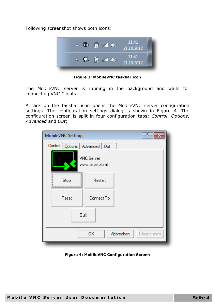Following screenshot shows both icons:



**Figure 3: MobileVNC taskbar icon**

The MobileVNC server is running in the background and waits for connecting VNC Clients.

A click on the taskbar icon opens the MobileVNC server configuration settings. The configuration settings dialog is shown in [Figure](#page-3-0) 4. The configuration screen is split in four configuration tabs: *Control*, *Options*, *Advanced* and *Out*;

| MobileVNC Settings                 |                                      | P          |
|------------------------------------|--------------------------------------|------------|
| Control   Options   Advanced   Out |                                      |            |
|                                    | <b>VNC</b> Server<br>www.smartlab.at |            |
| Stop                               | Restart                              |            |
| Reset                              | Connect To                           |            |
| Quit                               |                                      |            |
|                                    | Abbrechen<br>ОК                      | Übernehmen |

<span id="page-3-0"></span>**Figure 4: MobileVNC Configuration Screen**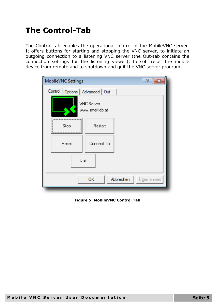### **The Control-Tab**

The Control-tab enables the operational control of the MobileVNC server. It offers buttons for starting and stopping the VNC server, to initiate an outgoing connection to a listening VNC server (the Out-tab contains the connection settings for the listening viewer), to soft reset the mobile device from remote and to shutdown and quit the VNC server program.

| MobileVNC Settings                 |                                      | 7          |
|------------------------------------|--------------------------------------|------------|
| Control   Options   Advanced   Out |                                      |            |
|                                    | <b>VNC</b> Server<br>www.smartlab.at |            |
| Stop<br>                           | Restart                              |            |
| Reset                              | Connect To                           |            |
| Quit                               |                                      |            |
|                                    | Abbrechen<br>OК                      | Übernehmen |

**Figure 5: MobileVNC Control Tab**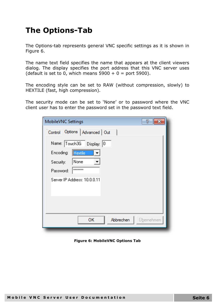### **The Options-Tab**

The Options-tab represents general VNC specific settings as it is shown in [Figure 6.](#page-5-0)

The name text field specifies the name that appears at the client viewers dialog. The display specifies the port address that this VNC server uses (default is set to 0, which means  $5900 + 0 =$  port 5900).

The encoding style can be set to RAW (without compression, slowly) to HEXTILE (fast, high compression).

The security mode can be set to 'None' or to password where the VNC client user has to enter the password set in the password text field.

| MobileVNC Settings               | 7          |
|----------------------------------|------------|
| Control Options   Advanced   Out |            |
| Name: Touch3G Display: 0         |            |
| Hextile<br>Encoding:             |            |
| None<br>Security:                |            |
| <b>xxxxxxx</b><br>Password:      |            |
| Server IP Address: 10.0.0.11     |            |
|                                  |            |
|                                  |            |
|                                  |            |
| OK<br>Abbrechen                  | Übernehmen |
|                                  |            |

<span id="page-5-0"></span>**Figure 6: MobileVNC Options Tab**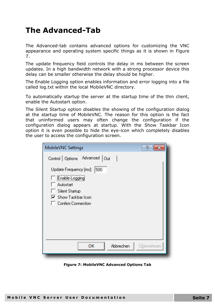#### **The Advanced-Tab**

The Advanced-tab contains advanced options for customizing the VNC appearance and operating system specific things as it is shown in [Figure](#page-6-0)  [7.](#page-6-0)

The update frequency field controls the delay in ms between the screen updates. In a high bandwidth network with a strong processor device this delay can be smaller otherwise the delay should be higher.

The Enable Logging option enables information and error logging into a file called log.txt within the local MobileVNC directory.

To automatically startup the server at the startup time of the thin client, enable the Autostart option.

The Silent Startup option disables the showing of the configuration dialog at the startup time of MobileVNC. The reason for this option is the fact that uninformed users may often change the configuration if the configuration dialog appears at startup. With the Show Taskbar Icon option it is even possible to hide the eye-icon which completely disables the user to access the configuration screen.

| Control   Options   Advanced   Out                                                                                          |  |
|-----------------------------------------------------------------------------------------------------------------------------|--|
|                                                                                                                             |  |
| Update Frequency [ms]:<br>500<br>Enable Logging<br>Autostart<br>Silent Startup<br>☑ Show Taskbar Icon<br>Confirm Connection |  |
|                                                                                                                             |  |
| Abbrechen<br>OK<br>Übernehmen                                                                                               |  |

<span id="page-6-0"></span>**Figure 7: MobileVNC Advanced Options Tab**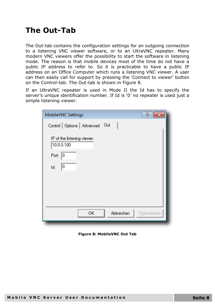#### **The Out-Tab**

The Out-tab contains the configuration settings for an outgoing connection to a listening VNC viewer software, or to an UltraVNC repeater. Many modern VNC viewers offer the possibility to start the software in listening mode. The reason is that mobile devices most of the time do not have a public IP address to refer to. So it is practicable to have a public IP address on an Office Computer which runs a listening VNC viewer. A user can then easily call for support by pressing the 'Connect to viewer' button on the Control-tab. The Out-tab is shown in [Figure 8.](#page-7-0)

If an UltraVNC repeater is used in Mode II the Id has to specify the server's unique identification number. If Id is '0' no repeater is used just a simple listening viewer.

| MobileVNC Settings                        | 7          |
|-------------------------------------------|------------|
| Control   Options   Advanced Out          |            |
| IP of the listening viewer:<br>10.0.0.100 |            |
| Port:<br>10                               |            |
| 0<br>Id:                                  |            |
|                                           |            |
|                                           |            |
|                                           |            |
| OK<br>Abbrechen                           | Übernehmen |

<span id="page-7-0"></span>**Figure 8: MobileVNC Out Tab**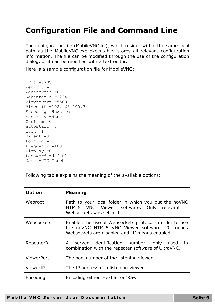## **Configuration File and Command Line**

The configuration file (MobileVNC.ini), which resides within the same local path as the MobileVNC.exe executable, stores all relevant configuration information. The file can be modified through the use of the configuration dialog, or it can be modified with a text editor.

Here is a sample configuration file for MobileVNC:

```
[PocketVNC]
Webroot =Websockets =0RepeaterId =1234 
ViewerPort =5500 
ViewerIP =192.168.100.34
Encoding =Hextile
Security =None
Confirm = 0Autostart =0Icon =1
Silent =0
Logging =1
Frequency =100
Display =0
Password =default
Name =HTC_Touch
```
Following table explains the meaning of the available options:

| <b>Option</b> | <b>Meaning</b>                                                                                                                                             |
|---------------|------------------------------------------------------------------------------------------------------------------------------------------------------------|
| Webroot       | Path to your local folder in which you put the noVNC<br>HTML5 VNC Viewer software. Only relevant<br>if<br>Websockets was set to 1.                         |
| Websockets    | Enables the use of Websockets protocol in order to use<br>the noVNC HTML5 VNC Viewer software. '0' means<br>Websockets are disabled and '1' means enabled. |
| RepeaterId    | A server identification number, only used<br>-in<br>combination with the repeater software of UltraVNC.                                                    |
| ViewerPort    | The port number of the listening viewer.                                                                                                                   |
| ViewerIP      | The IP address of a listening viewer.                                                                                                                      |
| Encoding      | Encoding either 'Hextile' or 'Raw'                                                                                                                         |